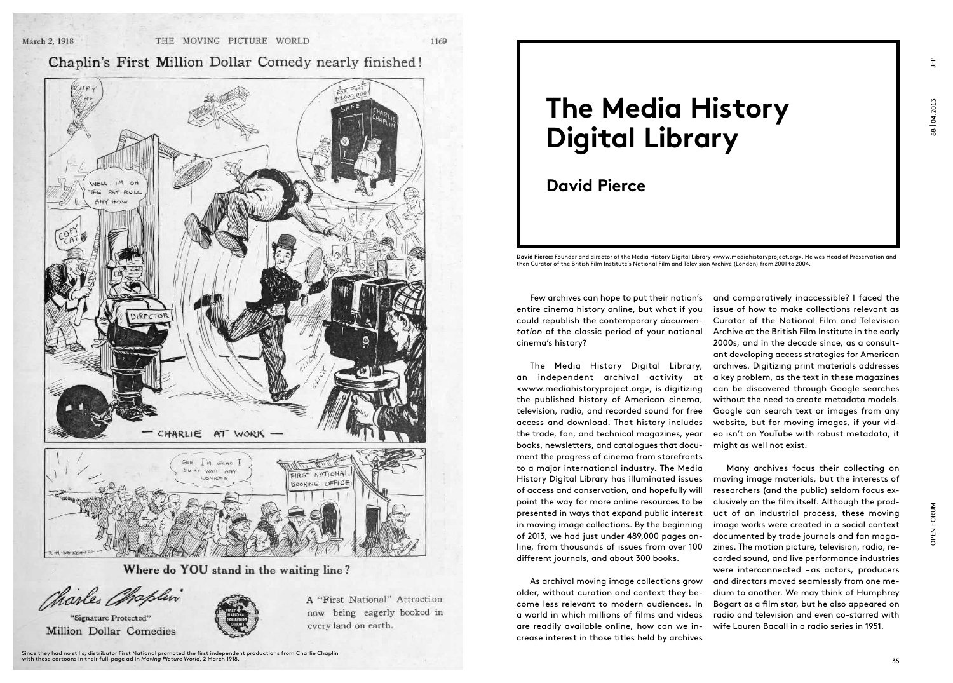1169

### Chaplin's First Million Dollar Comedy nearly finished!



Where do YOU stand in the waiting line?

### Charles Chaplin

"Signature Protected"



A "First National" Attraction now being eagerly booked in every land on earth.

## **The Media History Digital Library**

### **David Pierce**

David Pierce: Founder and director of the Media History Digital Library <www.mediahistoryproject.org>. He was Head of Preservation and then Curator of the British Film Institute's National Film and Television Archive (London) from 2001 to 2004.

Few archives can hope to put their nation's entire cinema history online, but what if you could republish the contemporary *documentation* of the classic period of your national cinema's history?

The Media History Digital Library, an independent archival activity at <www.mediahistoryproject.org>, is digitizing the published history of American cinema, television, radio, and recorded sound for free access and download. That history includes the trade, fan, and technical magazines, year books, newsletters, and catalogues that document the progress of cinema from storefronts to a major international industry. The Media History Digital Library has illuminated issues of access and conservation, and hopefully will point the way for more online resources to be presented in ways that expand public interest in moving image collections. By the beginning of 2013, we had just under 489,000 pages online, from thousands of issues from over 100 different journals, and about 300 books.

As archival moving image collections grow older, without curation and context they become less relevant to modern audiences. In a world in which millions of films and videos are readily available online, how can we increase interest in those titles held by archives

and comparatively inaccessible? I faced the issue of how to make collections relevant as Curator of the National Film and Television Archive at the British Film Institute in the early 2000s, and in the decade since, as a consultant developing access strategies for American archives. Digitizing print materials addresses a key problem, as the text in these magazines can be discovered through Google searches without the need to create metadata models. Google can search text or images from any website, but for moving images, if your video isn't on YouTube with robust metadata, it might as well not exist.

Many archives focus their collecting on moving image materials, but the interests of researchers (and the public) seldom focus exclusively on the film itself. Although the product of an industrial process, these moving image works were created in a social context documented by trade journals and fan magazines. The motion picture, television, radio, recorded sound, and live performance industries were interconnected –as actors, producers and directors moved seamlessly from one medium to another. We may think of Humphrey Bogart as a film star, but he also appeared on radio and television and even co-starred with wife Lauren Bacall in a radio series in 1951.

 $E$ 

OPEN FORUM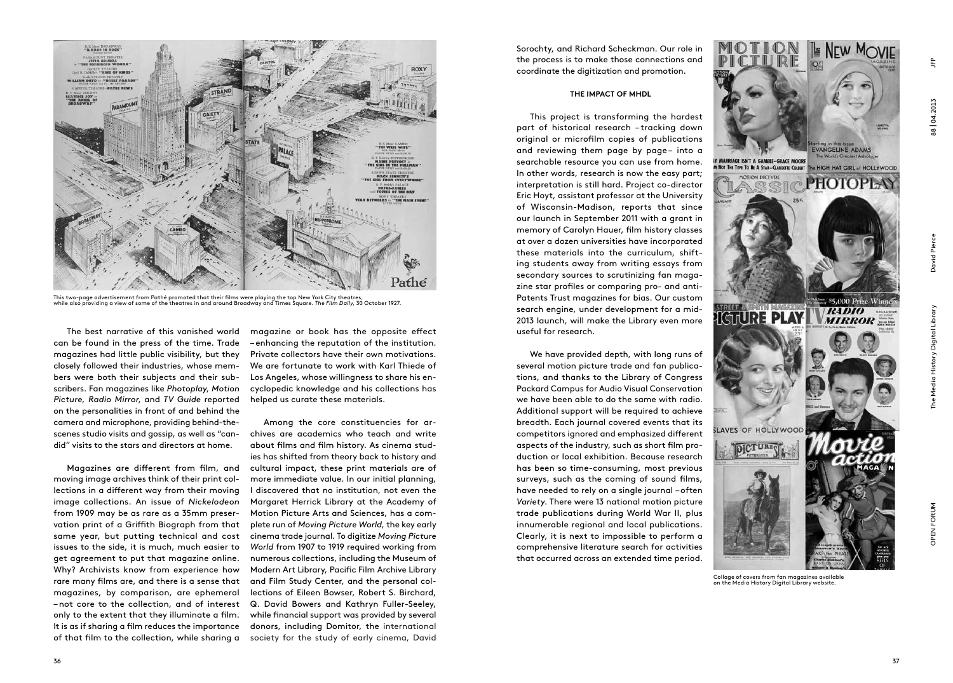

**NEW MOVIE** 



Collage of covers from fan magazines available on the Media History Digital Library website.



This two-page advertisement from Pathé promoted that their films were playing the top New York City theatres,<br>while also providing a view of some of the theatres in and around Broadway and Times Square. *The Film Daily*, 3

The best narrative of this vanished world can be found in the press of the time. Trade magazines had little public visibility, but they closely followed their industries, whose members were both their subjects and their subscribers. Fan magazines like *Photoplay*, *Motion Picture*, *Radio Mirror*, and *TV Guide* reported on the personalities in front of and behind the camera and microphone, providing behind-thescenes studio visits and gossip, as well as "candid" visits to the stars and directors at home.

Magazines are different from film, and moving image archives think of their print collections in a different way from their moving image collections. An issue of *Nickelodeon*  from 1909 may be as rare as a 35mm preservation print of a Griffith Biograph from that same year, but putting technical and cost issues to the side, it is much, much easier to get agreement to put that magazine online. Why? Archivists know from experience how rare many films are, and there is a sense that magazines, by comparison, are ephemeral –not core to the collection, and of interest only to the extent that they illuminate a film. It is as if sharing a film reduces the importance of that film to the collection, while sharing a

magazine or book has the opposite effect –enhancing the reputation of the institution. Private collectors have their own motivations. We are fortunate to work with Karl Thiede of Los Angeles, whose willingness to share his encyclopedic knowledge and his collections has helped us curate these materials.

Among the core constituencies for archives are academics who teach and write about films and film history. As cinema studies has shifted from theory back to history and cultural impact, these print materials are of more immediate value. In our initial planning, I discovered that no institution, not even the Margaret Herrick Library at the Academy of Motion Picture Arts and Sciences, has a complete run of *Moving Picture World*, the key early cinema trade journal. To digitize *Moving Picture World* from 1907 to 1919 required working from numerous collections, including the Museum of Modern Art Library, Pacific Film Archive Library and Film Study Center, and the personal collections of Eileen Bowser, Robert S. Birchard, Q. David Bowers and Kathryn Fuller-Seeley, while financial support was provided by several donors, including Domitor, the international society for the study of early cinema, David

Sorochty, and Richard Scheckman. Our role in the process is to make those connections and coordinate the digitization and promotion.

### **The Impact of MHDL**

This project is transforming the hardest part of historical research – tracking down original or microfilm copies of publications and reviewing them page by page- into a searchable resource you can use from home. In other words, research is now the easy part; interpretation is still hard. Project co-director Eric Hoyt, assistant professor at the University of Wisconsin-Madison, reports that since our launch in September 2011 with a grant in memory of Carolyn Hauer, film history classes at over a dozen universities have incorporated these materials into the curriculum, shifting students away from writing essays from secondary sources to scrutinizing fan magazine star profiles or comparing pro- and anti-Patents Trust magazines for bias. Our custom search engine, under development for a mid-2013 launch, will make the Library even more useful for research.

We have provided depth, with long runs of several motion picture trade and fan publications, and thanks to the Library of Congress Packard Campus for Audio Visual Conservation we have been able to do the same with radio. Additional support will be required to achieve breadth. Each journal covered events that its competitors ignored and emphasized different aspects of the industry, such as short film production or local exhibition. Because research has been so time-consuming, most previous surveys, such as the coming of sound films, have needed to rely on a single journal –often *Variety*. There were 13 national motion picture trade publications during World War II, plus innumerable regional and local publications. Clearly, it is next to impossible to perform a comprehensive literature search for activities that occurred across an extended time period.

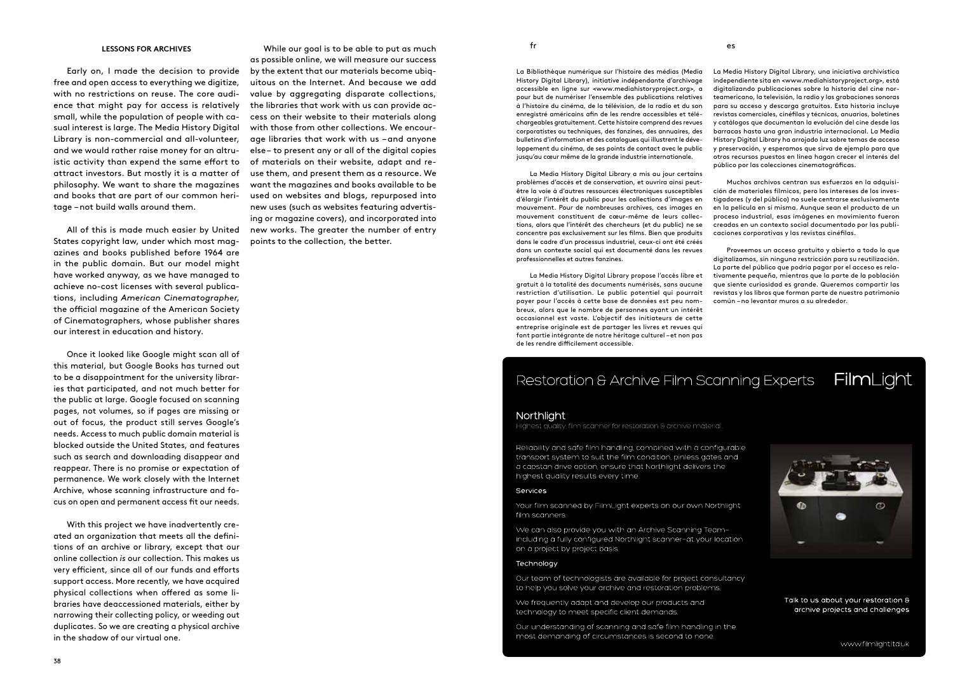#### **Lessons for Archives**

Early on, I made the decision to provide free and open access to everything we digitize, with no restrictions on reuse. The core audience that might pay for access is relatively small, while the population of people with casual interest is large. The Media History Digital Library is non-commercial and all-volunteer, and we would rather raise money for an altruistic activity than expend the same effort to attract investors. But mostly it is a matter of philosophy. We want to share the magazines and books that are part of our common heritage –not build walls around them.

All of this is made much easier by United States copyright law, under which most magazines and books published before 1964 are in the public domain. But our model might have worked anyway, as we have managed to achieve no-cost licenses with several publications, including *American Cinematographer*, the official magazine of the American Society of Cinematographers, whose publisher shares our interest in education and history.

Once it looked like Google might scan all of this material, but Google Books has turned out to be a disappointment for the university libraries that participated, and not much better for the public at large. Google focused on scanning pages, not volumes, so if pages are missing or out of focus, the product still serves Google's needs. Access to much public domain material is blocked outside the United States, and features such as search and downloading disappear and reappear. There is no promise or expectation of permanence. We work closely with the Internet Archive, whose scanning infrastructure and focus on open and permanent access fit our needs.

With this project we have inadvertently created an organization that meets all the definitions of an archive or library, except that our online collection *is* our collection. This makes us very efficient, since all of our funds and efforts support access. More recently, we have acquired physical collections when offered as some libraries have deaccessioned materials, either by narrowing their collecting policy, or weeding out duplicates. So we are creating a physical archive in the shadow of our virtual one.

While our goal is to be able to put as much as possible online, we will measure our success by the extent that our materials become ubiquitous on the Internet. And because we add value by aggregating disparate collections, the libraries that work with us can provide access on their website to their materials along with those from other collections. We encourage libraries that work with us –and anyone else– to present any or all of the digital copies of materials on their website, adapt and reuse them, and present them as a resource. We want the magazines and books available to be used on websites and blogs, repurposed into new uses (such as websites featuring advertising or magazine covers), and incorporated into new works. The greater the number of entry points to the collection, the better.

fr

La Bibliothèque numérique sur l'histoire des médias (Media History Digital Library), initiative indépendante d'archivage accessible en ligne sur <www.mediahistoryproject.org>, a pour but de numériser l'ensemble des publications relatives à l'histoire du cinéma, de la télévision, de la radio et du son enregistré américains afin de les rendre accessibles et téléchargeables gratuitement. Cette histoire comprend des revues corporatistes ou techniques, des fanzines, des annuaires, des bulletins d'information et des catalogues qui illustrent le développement du cinéma, de ses points de contact avec le public jusqu'au cœur même de la grande industrie internationale.

La Media History Digital Library a mis au jour certains problèmes d'accès et de conservation, et ouvrira ainsi peutêtre la voie à d'autres ressources électroniques susceptibles d'élargir l'intérêt du public pour les collections d'images en mouvement. Pour de nombreuses archives, ces images en mouvement constituent de cœur-même de leurs collections, alors que l'intérêt des chercheurs (et du public) ne se concentre pas exclusivement sur les films. Bien que produits dans le cadre d'un processus industriel, ceux-ci ont été créés dans un contexte social qui est documenté dans les revues professionnelles et autres fanzines.

La Media History Digital Library propose l'accès libre et gratuit à la totalité des documents numérisés, sans aucune restriction d'utilisation. Le public potentiel qui pourrait payer pour l'accès à cette base de données est peu nombreux, alors que le nombre de personnes ayant un intérêt occasionnel est vaste. L'objectif des initiateurs de cette entreprise originale est de partager les livres et revues qui font partie intégrante de notre héritage culturel –et non pas de les rendre difficilement accessible.

La Media History Digital Library, una iniciativa archivística independiente sita en <www.mediahistoryproject.org>, está digitalizando publicaciones sobre la historia del cine norteamericano, la televisión, la radio y las grabaciones sonoras para su acceso y descarga gratuitos. Esta historia incluye revistas comerciales, cinéfilas y técnicas, anuarios, boletines y catálogos que documentan la evolución del cine desde las barracas hasta una gran industria internacional. La Media History Digital Library ha arrojado luz sobre temas de acceso y preservación, y esperamos que sirva de ejemplo para que otros recursos puestos en línea hagan crecer el interés del público por las colecciones cinematográficas.

Muchos archivos centran sus esfuerzos en la adquisición de materiales fílmicos, pero los intereses de los investigadores (y del público) no suele centrarse exclusivamente en la película en sí misma. Aunque sean el producto de un proceso industrial, esas imágenes en movimiento fueron creadas en un contexto social documentado por las publicaciones corporativas y las revistas cinéfilas.

Proveemos un acceso gratuito y abierto a todo lo que digitalizamos, sin ninguna restricción para su reutilización. La parte del público que podría pagar por el acceso es relativamente pequeña, mientras que la parte de la población que siente curiosidad es grande. Queremos compartir las revistas y los libros que forman parte de nuestro patrimonio común –no levantar muros a su alrededor.

#### FilmLight Restoration & Archive Film Scanning Experts

es

#### Northlight

-lighest quality, film scanner for restoration & archive material...

Reliability and safe film handling, combined with a configurable transport system to suit the film condition, pinless gates and a capstan drive option, ensure that Northlight delivers the highest quality results every time.

#### Services

Your film scanned by FilmLight experts on our own Northlight film scanners.

We can also provide you with an Archive Scanning Teamincluding a fully configured Northlight scanner-at your location on a project by project basis.

#### Technology

Our team of technologists are available for project consultancy to help you solve your archive and restoration problems.

We frequently adapt and develop our products and technology to meet specific client demands.

Our understanding of scanning and safe film handling in the most demanding of circumstances is second to none.



Talk to us about your restoration 8 archive projects and challenges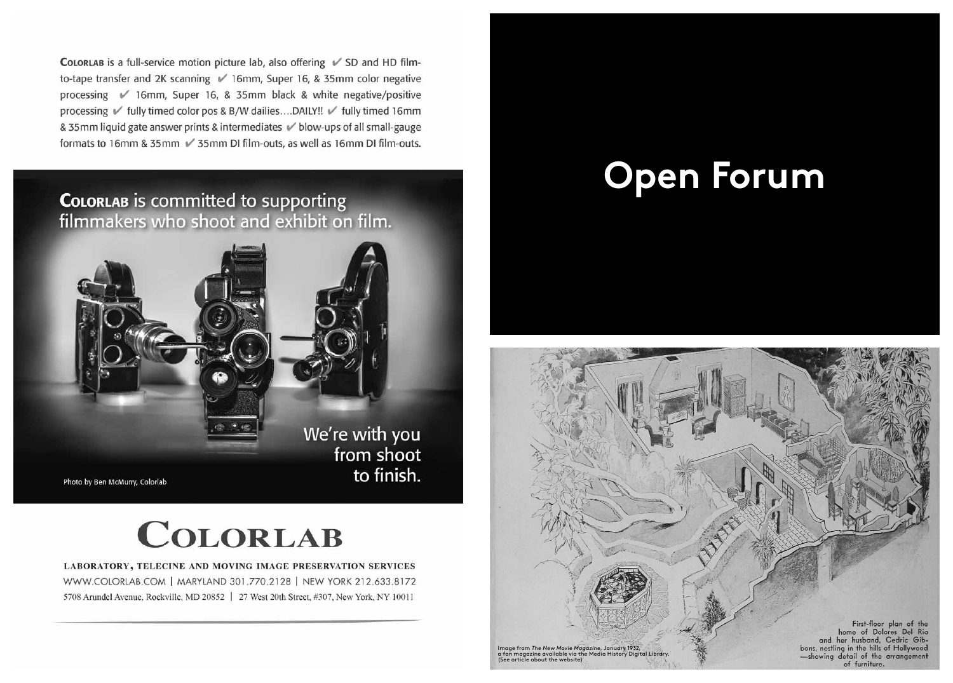COLORLAB is a full-service motion picture lab, also offering √ SD and HD filmto-tape transfer and 2K scanning √ 16mm, Super 16, & 35mm color negative processing √ 16mm, Super 16, & 35mm black & white negative/positive processing √ fully timed color pos & B/W dailies....DAILY!! √ fully timed 16mm & 35mm liquid gate answer prints & intermediates V blow-ups of all small-gauge formats to 16mm & 35mm √ 35mm DI film-outs, as well as 16mm DI film-outs.

### COLORLAB is committed to supporting filmmakers who shoot and exhibit on film.



## **COLORLAB**

LABORATORY, TELECINE AND MOVING IMAGE PRESERVATION SERVICES WWW.COLORLAB.COM | MARYLAND 301.770.2128 | NEW YORK 212.633.8172 5708 Arundel Avenue, Rockville, MD 20852 | 27 West 20th Street, #307, New York, NY 10011

# **Open Forum**